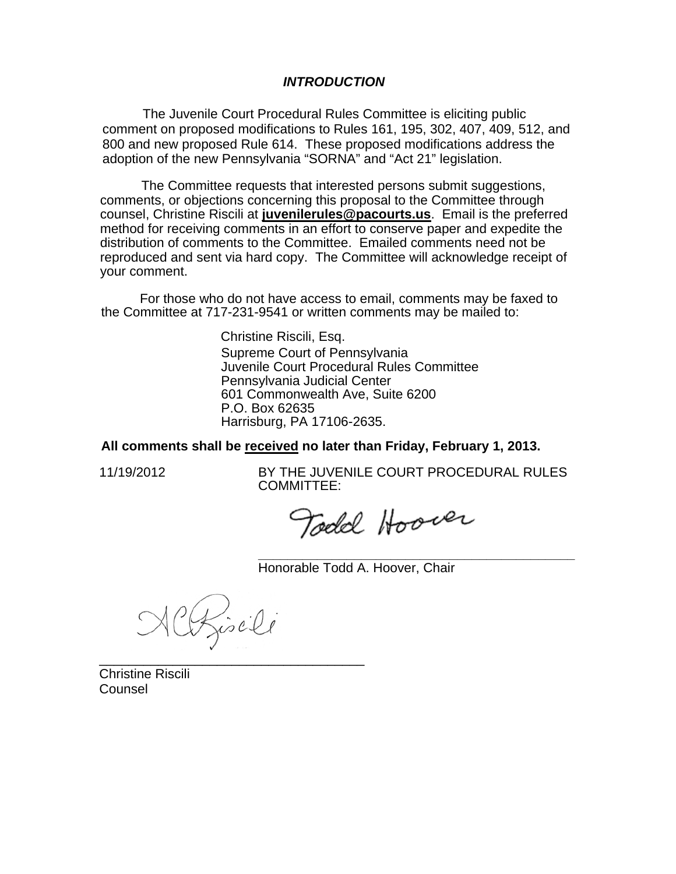#### *INTRODUCTION*

The Juvenile Court Procedural Rules Committee is eliciting public comment on proposed modifications to Rules 161, 195, 302, 407, 409, 512, and 800 and new proposed Rule 614. These proposed modifications address the adoption of the new Pennsylvania "SORNA" and "Act 21" legislation.

The Committee requests that interested persons submit suggestions, comments, or objections concerning this proposal to the Committee through counsel, Christine Riscili at **juvenilerules@pacourts.us**. Email is the preferred method for receiving comments in an effort to conserve paper and expedite the distribution of comments to the Committee. Emailed comments need not be reproduced and sent via hard copy. The Committee will acknowledge receipt of your comment.

 For those who do not have access to email, comments may be faxed to the Committee at 717-231-9541 or written comments may be mailed to:

> Christine Riscili, Esq. Supreme Court of Pennsylvania Juvenile Court Procedural Rules Committee Pennsylvania Judicial Center 601 Commonwealth Ave, Suite 6200 P.O. Box 62635 Harrisburg, PA 17106-2635.

**All comments shall be received no later than Friday, February 1, 2013.** 

11/19/2012 BY THE JUVENILE COURT PROCEDURAL RULES COMMITTEE:

**\_\_\_\_\_\_\_\_\_\_\_\_\_\_\_\_\_\_\_\_\_\_\_\_\_\_\_\_\_\_\_\_\_\_\_\_\_\_\_\_\_\_\_** 

Todd Hoover

Honorable Todd A. Hoover, Chair

Cofisili

\_\_\_\_\_\_\_\_\_\_\_\_\_\_\_\_\_\_\_\_\_\_\_\_\_\_\_\_\_\_\_\_\_\_\_\_

Christine Riscili Counsel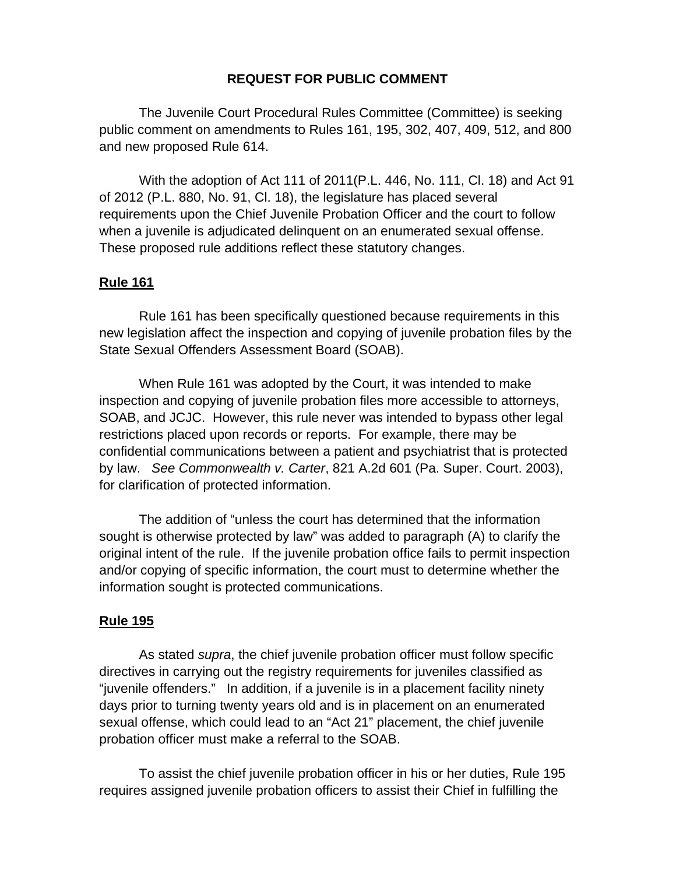# **REQUEST FOR PUBLIC COMMENT**

The Juvenile Court Procedural Rules Committee (Committee) is seeking public comment on amendments to Rules 161, 195, 302, 407, 409, 512, and 800 and new proposed Rule 614.

With the adoption of Act 111 of 2011(P.L. 446, No. 111, Cl. 18) and Act 91 of 2012 (P.L. 880, No. 91, Cl. 18), the legislature has placed several requirements upon the Chief Juvenile Probation Officer and the court to follow when a juvenile is adjudicated delinquent on an enumerated sexual offense. These proposed rule additions reflect these statutory changes.

#### **Rule 161**

Rule 161 has been specifically questioned because requirements in this new legislation affect the inspection and copying of juvenile probation files by the State Sexual Offenders Assessment Board (SOAB).

When Rule 161 was adopted by the Court, it was intended to make inspection and copying of juvenile probation files more accessible to attorneys, SOAB, and JCJC. However, this rule never was intended to bypass other legal restrictions placed upon records or reports. For example, there may be confidential communications between a patient and psychiatrist that is protected by law. *See Commonwealth v. Carter*, 821 A.2d 601 (Pa. Super. Court. 2003), for clarification of protected information.

The addition of "unless the court has determined that the information sought is otherwise protected by law" was added to paragraph (A) to clarify the original intent of the rule. If the juvenile probation office fails to permit inspection and/or copying of specific information, the court must to determine whether the information sought is protected communications.

## **Rule 195**

As stated *supra*, the chief juvenile probation officer must follow specific directives in carrying out the registry requirements for juveniles classified as "juvenile offenders." In addition, if a juvenile is in a placement facility ninety days prior to turning twenty years old and is in placement on an enumerated sexual offense, which could lead to an "Act 21" placement, the chief juvenile probation officer must make a referral to the SOAB.

To assist the chief juvenile probation officer in his or her duties, Rule 195 requires assigned juvenile probation officers to assist their Chief in fulfilling the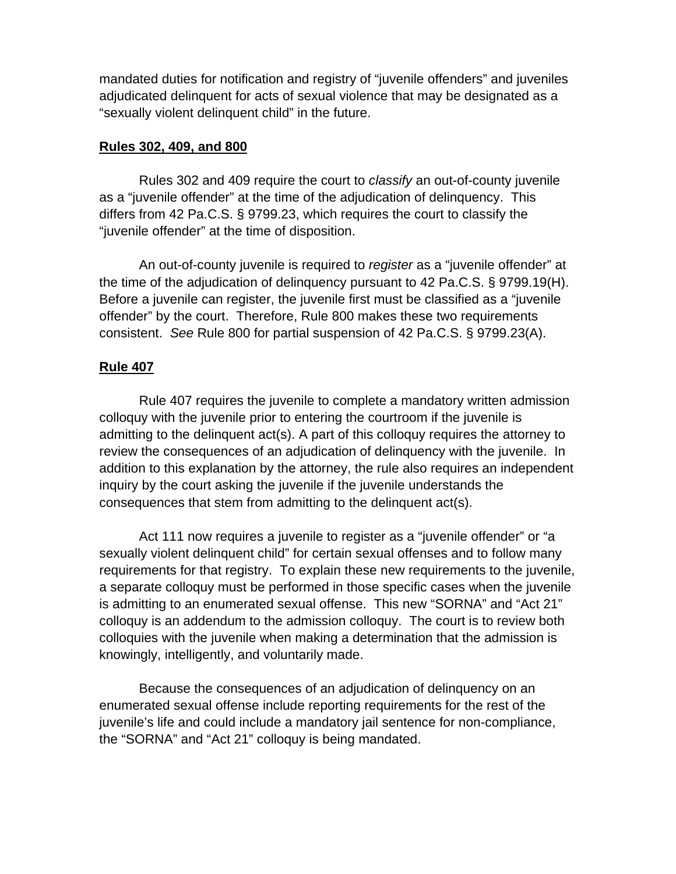mandated duties for notification and registry of "juvenile offenders" and juveniles adjudicated delinquent for acts of sexual violence that may be designated as a "sexually violent delinquent child" in the future.

## **Rules 302, 409, and 800**

Rules 302 and 409 require the court to *classify* an out-of-county juvenile as a "juvenile offender" at the time of the adjudication of delinquency. This differs from 42 Pa.C.S. § 9799.23, which requires the court to classify the "juvenile offender" at the time of disposition.

An out-of-county juvenile is required to *register* as a "juvenile offender" at the time of the adjudication of delinquency pursuant to 42 Pa.C.S. § 9799.19(H). Before a juvenile can register, the juvenile first must be classified as a "juvenile offender" by the court. Therefore, Rule 800 makes these two requirements consistent. *See* Rule 800 for partial suspension of 42 Pa.C.S. § 9799.23(A).

# **Rule 407**

Rule 407 requires the juvenile to complete a mandatory written admission colloquy with the juvenile prior to entering the courtroom if the juvenile is admitting to the delinquent act(s). A part of this colloquy requires the attorney to review the consequences of an adjudication of delinquency with the juvenile. In addition to this explanation by the attorney, the rule also requires an independent inquiry by the court asking the juvenile if the juvenile understands the consequences that stem from admitting to the delinquent act(s).

Act 111 now requires a juvenile to register as a "juvenile offender" or "a sexually violent delinquent child" for certain sexual offenses and to follow many requirements for that registry. To explain these new requirements to the juvenile, a separate colloquy must be performed in those specific cases when the juvenile is admitting to an enumerated sexual offense. This new "SORNA" and "Act 21" colloquy is an addendum to the admission colloquy. The court is to review both colloquies with the juvenile when making a determination that the admission is knowingly, intelligently, and voluntarily made.

Because the consequences of an adjudication of delinquency on an enumerated sexual offense include reporting requirements for the rest of the juvenile's life and could include a mandatory jail sentence for non-compliance, the "SORNA" and "Act 21" colloquy is being mandated.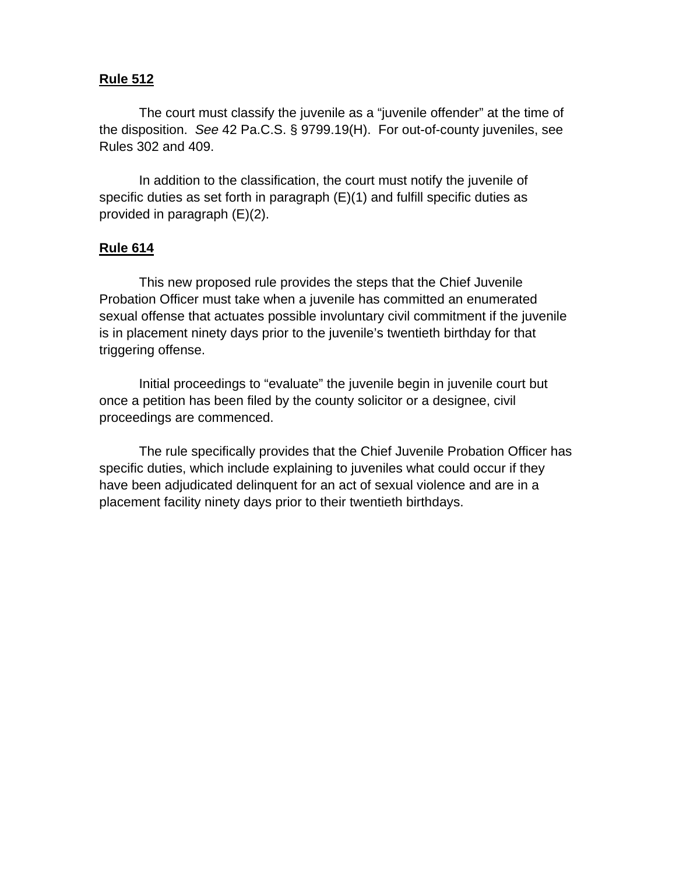# **Rule 512**

The court must classify the juvenile as a "juvenile offender" at the time of the disposition. *See* 42 Pa.C.S. § 9799.19(H). For out-of-county juveniles, see Rules 302 and 409.

In addition to the classification, the court must notify the juvenile of specific duties as set forth in paragraph (E)(1) and fulfill specific duties as provided in paragraph (E)(2).

## **Rule 614**

This new proposed rule provides the steps that the Chief Juvenile Probation Officer must take when a juvenile has committed an enumerated sexual offense that actuates possible involuntary civil commitment if the juvenile is in placement ninety days prior to the juvenile's twentieth birthday for that triggering offense.

Initial proceedings to "evaluate" the juvenile begin in juvenile court but once a petition has been filed by the county solicitor or a designee, civil proceedings are commenced.

The rule specifically provides that the Chief Juvenile Probation Officer has specific duties, which include explaining to juveniles what could occur if they have been adjudicated delinquent for an act of sexual violence and are in a placement facility ninety days prior to their twentieth birthdays.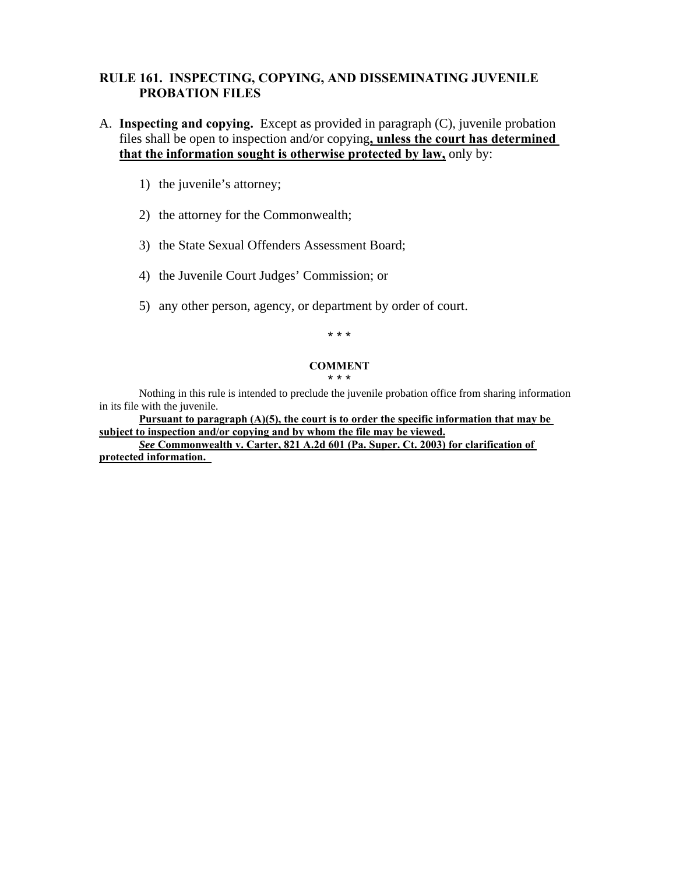# **RULE 161. INSPECTING, COPYING, AND DISSEMINATING JUVENILE PROBATION FILES**

# A. **Inspecting and copying.** Except as provided in paragraph (C), juvenile probation files shall be open to inspection and/or copying**, unless the court has determined that the information sought is otherwise protected by law,** only by:

- 1) the juvenile's attorney;
- 2) the attorney for the Commonwealth;
- 3) the State Sexual Offenders Assessment Board;
- 4) the Juvenile Court Judges' Commission; or
- 5) any other person, agency, or department by order of court.

\* \* \*

#### **COMMENT**

\* \* \*

Nothing in this rule is intended to preclude the juvenile probation office from sharing information in its file with the juvenile.

**Pursuant to paragraph (A)(5), the court is to order the specific information that may be subject to inspection and/or copying and by whom the file may be viewed.** 

*See* **Commonwealth v. Carter, 821 A.2d 601 (Pa. Super. Ct. 2003) for clarification of protected information.**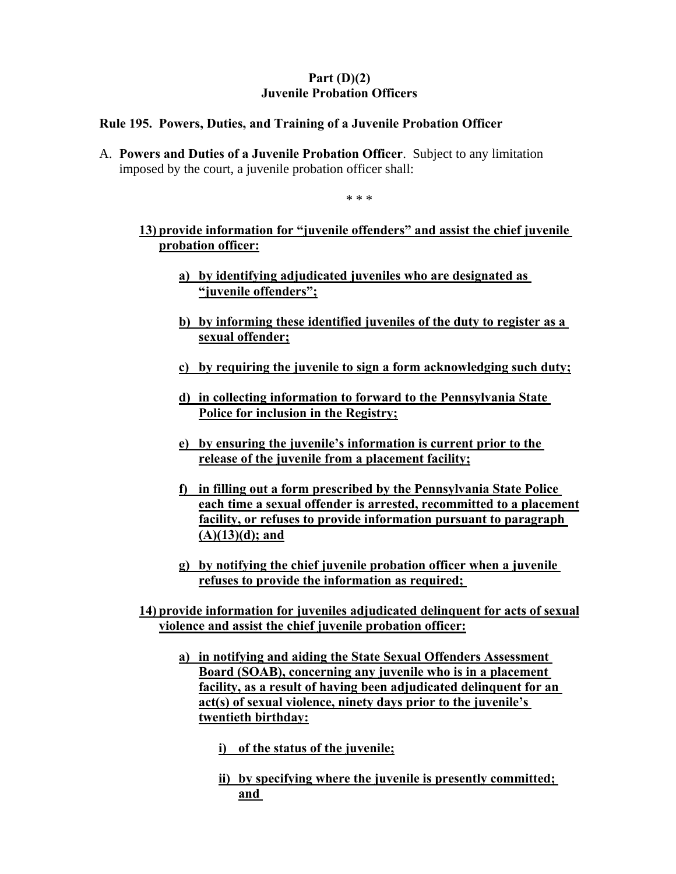# **Part (D)(2) Juvenile Probation Officers**

## **Rule 195. Powers, Duties, and Training of a Juvenile Probation Officer**

A. **Powers and Duties of a Juvenile Probation Officer**. Subject to any limitation imposed by the court, a juvenile probation officer shall:

\* \* \*

# **13) provide information for "juvenile offenders" and assist the chief juvenile probation officer:**

- **a) by identifying adjudicated juveniles who are designated as "juvenile offenders";**
- **b) by informing these identified juveniles of the duty to register as a sexual offender;**
- **c) by requiring the juvenile to sign a form acknowledging such duty;**
- **d) in collecting information to forward to the Pennsylvania State Police for inclusion in the Registry;**
- **e) by ensuring the juvenile's information is current prior to the release of the juvenile from a placement facility;**
- **f) in filling out a form prescribed by the Pennsylvania State Police each time a sexual offender is arrested, recommitted to a placement facility, or refuses to provide information pursuant to paragraph (A)(13)(d); and**
- **g) by notifying the chief juvenile probation officer when a juvenile refuses to provide the information as required;**

**14) provide information for juveniles adjudicated delinquent for acts of sexual violence and assist the chief juvenile probation officer:** 

**a) in notifying and aiding the State Sexual Offenders Assessment Board (SOAB), concerning any juvenile who is in a placement facility, as a result of having been adjudicated delinquent for an act(s) of sexual violence, ninety days prior to the juvenile's twentieth birthday:** 

**i) of the status of the juvenile;** 

**ii) by specifying where the juvenile is presently committed; and**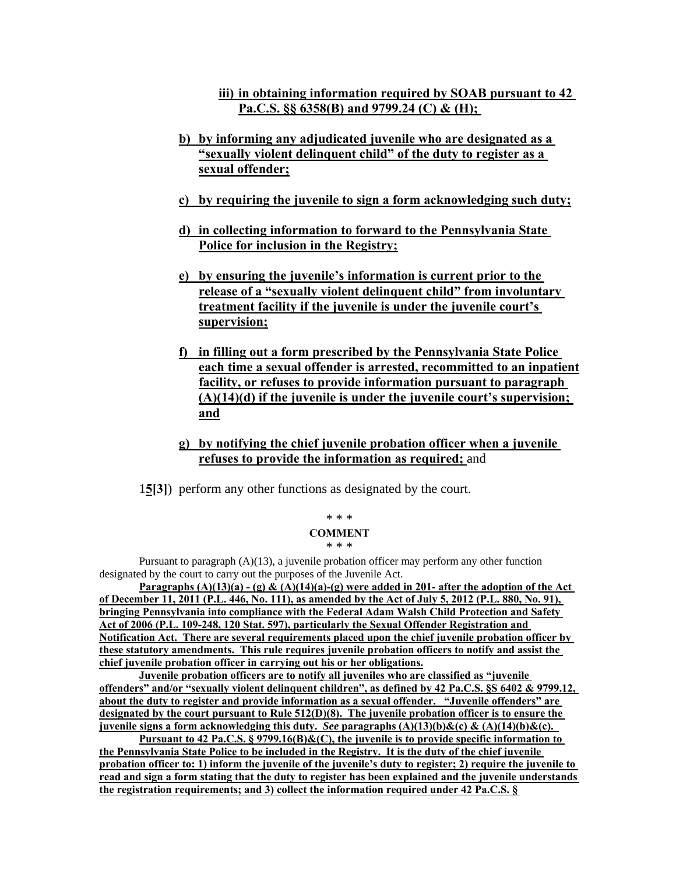**iii) in obtaining information required by SOAB pursuant to 42 Pa.C.S. §§ 6358(B) and 9799.24 (C) & (H);** 

- **b) by informing any adjudicated juvenile who are designated as a "sexually violent delinquent child" of the duty to register as a sexual offender;**
- **c) by requiring the juvenile to sign a form acknowledging such duty;**
- **d) in collecting information to forward to the Pennsylvania State Police for inclusion in the Registry;**
- **e) by ensuring the juvenile's information is current prior to the release of a "sexually violent delinquent child" from involuntary treatment facility if the juvenile is under the juvenile court's supervision;**
- **f) in filling out a form prescribed by the Pennsylvania State Police each time a sexual offender is arrested, recommitted to an inpatient facility, or refuses to provide information pursuant to paragraph (A)(14)(d) if the juvenile is under the juvenile court's supervision; and**
- **g) by notifying the chief juvenile probation officer when a juvenile refuses to provide the information as required;** and

1**5[3]**) perform any other functions as designated by the court.

#### \* \* \* **COMMENT**

\* \* \*

Pursuant to paragraph  $(A)(13)$ , a juvenile probation officer may perform any other function designated by the court to carry out the purposes of the Juvenile Act.

**Paragraphs (A)(13)(a) - (g) & (A)(14)(a)-(g) were added in 201- after the adoption of the Act of December 11, 2011 (P.L. 446, No. 111), as amended by the Act of July 5, 2012 (P.L. 880, No. 91), bringing Pennsylvania into compliance with the Federal Adam Walsh Child Protection and Safety Act of 2006 (P.L. 109-248, 120 Stat. 597), particularly the Sexual Offender Registration and Notification Act. There are several requirements placed upon the chief juvenile probation officer by these statutory amendments. This rule requires juvenile probation officers to notify and assist the chief juvenile probation officer in carrying out his or her obligations.** 

Juvenile probation officers are to notify all juveniles who are classified as "juvenile **offenders" and/or "sexually violent delinquent children", as defined by 42 Pa.C.S. §S 6402 & 9799.12, about the duty to register and provide information as a sexual offender. "Juvenile offenders" are designated by the court pursuant to Rule 512(D)(8). The juvenile probation officer is to ensure the juvenile signs a form acknowledging this duty.** *See* **paragraphs (A)(13)(b)&(c) & (A)(14)(b)&(c).** 

**Pursuant to 42 Pa.C.S. § 9799.16(B)&(C), the juvenile is to provide specific information to the Pennsylvania State Police to be included in the Registry. It is the duty of the chief juvenile probation officer to: 1) inform the juvenile of the juvenile's duty to register; 2) require the juvenile to read and sign a form stating that the duty to register has been explained and the juvenile understands the registration requirements; and 3) collect the information required under 42 Pa.C.S. §**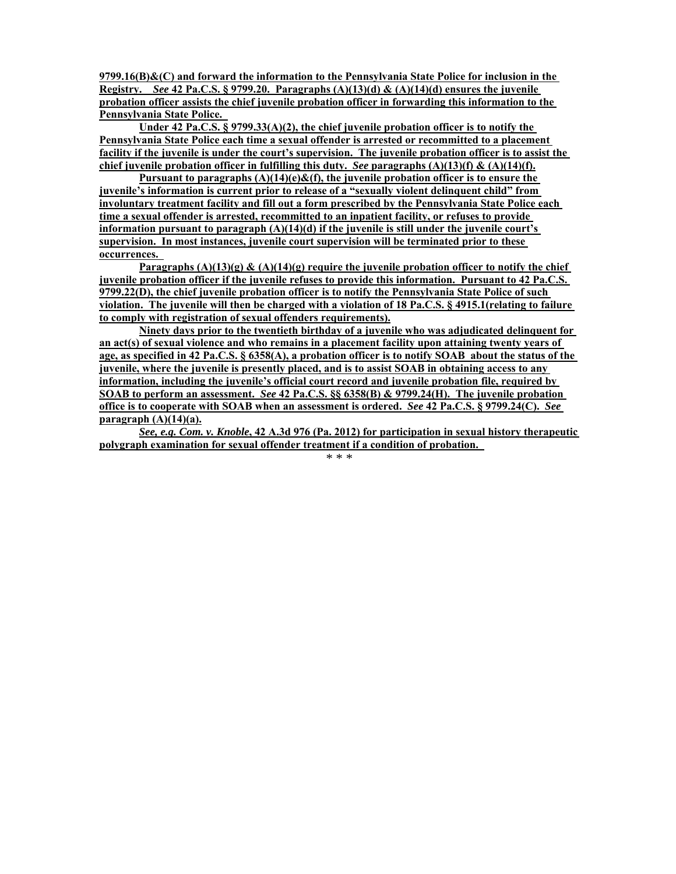**9799.16(B)&(C) and forward the information to the Pennsylvania State Police for inclusion in the Registry.** *See* 42 Pa.C.S. § 9799.20. Paragraphs  $(A)(13)(d) & (A)(14)(d)$  ensures the juvenile **probation officer assists the chief juvenile probation officer in forwarding this information to the Pennsylvania State Police.** 

**Under 42 Pa.C.S. § 9799.33(A)(2), the chief juvenile probation officer is to notify the Pennsylvania State Police each time a sexual offender is arrested or recommitted to a placement facility if the juvenile is under the court's supervision. The juvenile probation officer is to assist the chief juvenile probation officer in fulfilling this duty.** *See* paragraphs  $(A)(13)(f) \& (A)(14)(f)$ .

**Pursuant to paragraphs (A)(14)(e)&(f), the juvenile probation officer is to ensure the juvenile's information is current prior to release of a "sexually violent delinquent child" from involuntary treatment facility and fill out a form prescribed by the Pennsylvania State Police each time a sexual offender is arrested, recommitted to an inpatient facility, or refuses to provide information pursuant to paragraph (A)(14)(d) if the juvenile is still under the juvenile court's supervision. In most instances, juvenile court supervision will be terminated prior to these occurrences.** 

**Paragraphs**  $(A)(13)(g)$  **&**  $(A)(14)(g)$  **require the juvenile probation officer to notify the chief juvenile probation officer if the juvenile refuses to provide this information. Pursuant to 42 Pa.C.S. 9799.22(D), the chief juvenile probation officer is to notify the Pennsylvania State Police of such violation. The juvenile will then be charged with a violation of 18 Pa.C.S. § 4915.1(relating to failure to comply with registration of sexual offenders requirements).** 

**Ninety days prior to the twentieth birthday of a juvenile who was adjudicated delinquent for an act(s) of sexual violence and who remains in a placement facility upon attaining twenty years of age, as specified in 42 Pa.C.S. § 6358(A), a probation officer is to notify SOAB about the status of the juvenile, where the juvenile is presently placed, and is to assist SOAB in obtaining access to any information, including the juvenile's official court record and juvenile probation file, required by SOAB to perform an assessment.** *See* **42 Pa.C.S. §§ 6358(B) & 9799.24(H). The juvenile probation office is to cooperate with SOAB when an assessment is ordered.** *See* **42 Pa.C.S. § 9799.24(C).** *See*  **paragraph (A)(14)(a).** 

*See, e.g. Com. v. Knoble***, 42 A.3d 976 (Pa. 2012) for participation in sexual history therapeutic polygraph examination for sexual offender treatment if a condition of probation.**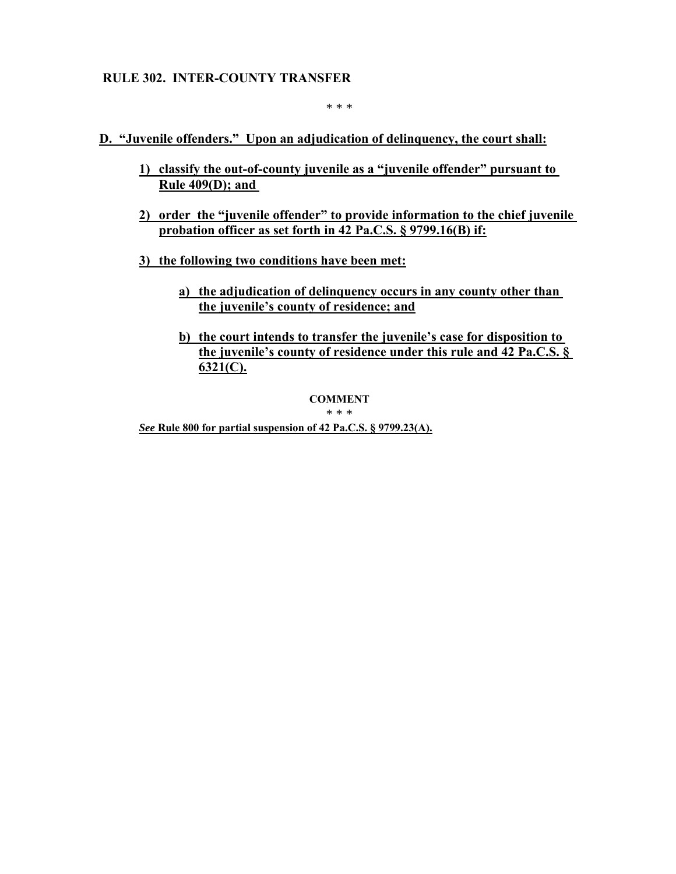## **RULE 302. INTER-COUNTY TRANSFER**

\* \* \*

**D. "Juvenile offenders." Upon an adjudication of delinquency, the court shall:** 

- **1) classify the out-of-county juvenile as a "juvenile offender" pursuant to Rule 409(D); and**
- **2) order the "juvenile offender" to provide information to the chief juvenile probation officer as set forth in 42 Pa.C.S. § 9799.16(B) if:**
- **3) the following two conditions have been met:** 
	- **a) the adjudication of delinquency occurs in any county other than the juvenile's county of residence; and**
	- **b) the court intends to transfer the juvenile's case for disposition to the juvenile's county of residence under this rule and 42 Pa.C.S. § 6321(C).**

**COMMENT** 

\* \* \*

*See* **Rule 800 for partial suspension of 42 Pa.C.S. § 9799.23(A).**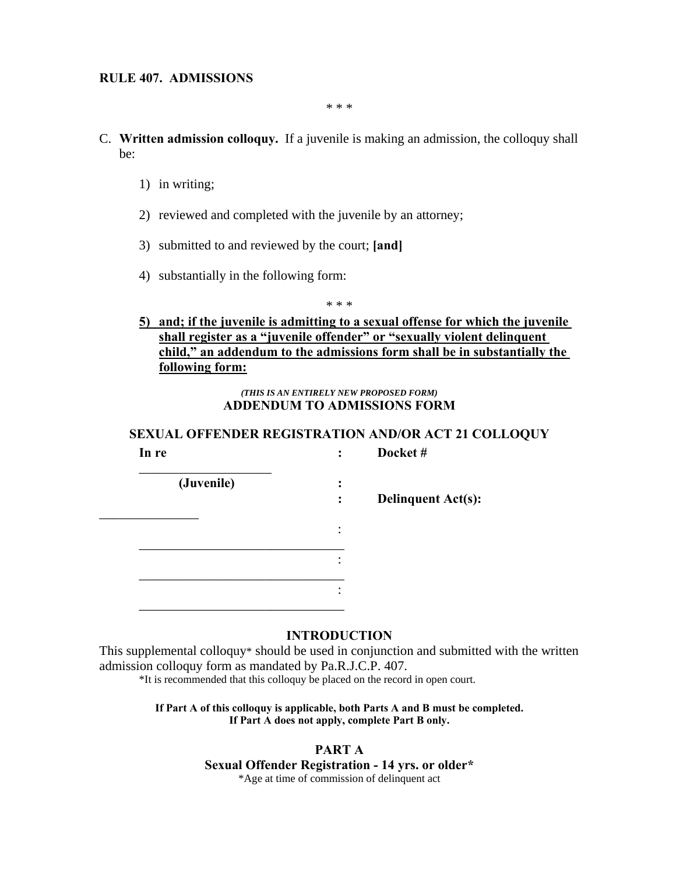\* \* \*

- C. **Written admission colloquy.** If a juvenile is making an admission, the colloquy shall be:
	- 1) in writing;
	- 2) reviewed and completed with the juvenile by an attorney;
	- 3) submitted to and reviewed by the court; **[and]**
	- 4) substantially in the following form:

\* \* \*

## **5) and; if the juvenile is admitting to a sexual offense for which the juvenile shall register as a "juvenile offender" or "sexually violent delinquent child," an addendum to the admissions form shall be in substantially the following form:**

*(THIS IS AN ENTIRELY NEW PROPOSED FORM)*  **ADDENDUM TO ADMISSIONS FORM** 

## **SEXUAL OFFENDER REGISTRATION AND/OR ACT 21 COLLOQUY In re : Docket #**

| (Juvenile) | Deli |
|------------|------|
|            |      |
|            |      |
|            |      |

**inquent Act(s):** 

#### **INTRODUCTION**

This supplemental colloquy\* should be used in conjunction and submitted with the written admission colloquy form as mandated by Pa.R.J.C.P. 407.

\*It is recommended that this colloquy be placed on the record in open court.

**If Part A of this colloquy is applicable, both Parts A and B must be completed. If Part A does not apply, complete Part B only.** 

> **PART A Sexual Offender Registration - 14 yrs. or older\***  \*Age at time of commission of delinquent act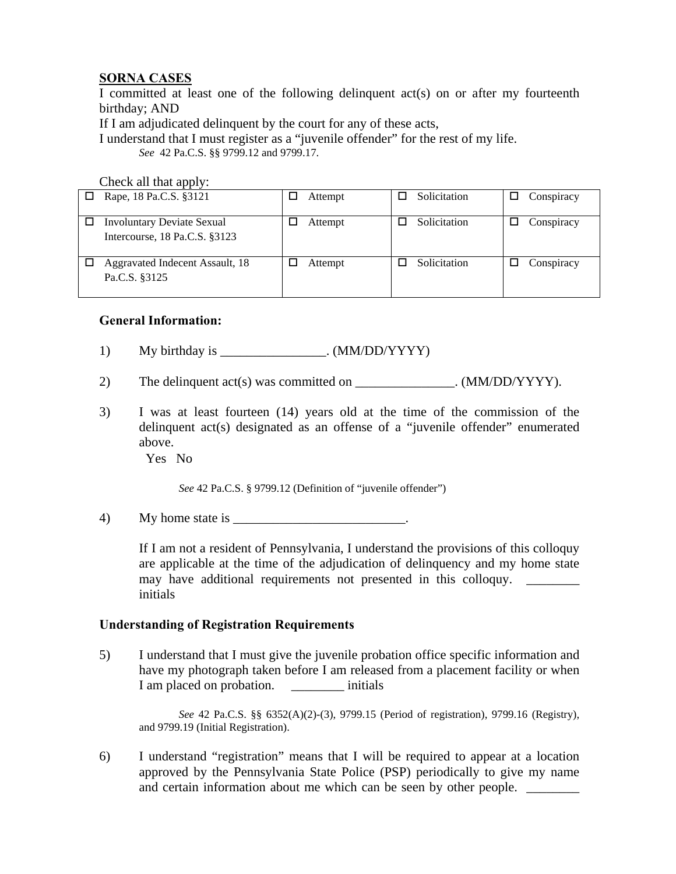# **SORNA CASES**

I committed at least one of the following delinquent act(s) on or after my fourteenth birthday; AND

If I am adjudicated delinquent by the court for any of these acts,

I understand that I must register as a "juvenile offender" for the rest of my life. *See* 42 Pa.C.S. §§ 9799.12 and 9799.17.

Check all that apply:

| Rape, 18 Pa.C.S. §3121                                             | Attempt | Solicitation | Conspiracy |
|--------------------------------------------------------------------|---------|--------------|------------|
| <b>Involuntary Deviate Sexual</b><br>Intercourse, 18 Pa.C.S. §3123 | Attempt | Solicitation | Conspiracy |
| Aggravated Indecent Assault, 18<br>Pa.C.S. §3125                   | Attempt | Solicitation | Conspiracy |

## **General Information:**

- 1) My birthday is \_\_\_\_\_\_\_\_\_\_\_\_\_\_\_\_\_. (MM/DD/YYYY)
- 2) The delinquent act(s) was committed on  $(MM/DD/YYYY)$ .
- 3) I was at least fourteen (14) years old at the time of the commission of the delinquent act(s) designated as an offense of a "juvenile offender" enumerated above.

Yes No

*See* 42 Pa.C.S. § 9799.12 (Definition of "juvenile offender")

4) My home state is  $\blacksquare$ 

 If I am not a resident of Pennsylvania, I understand the provisions of this colloquy are applicable at the time of the adjudication of delinquency and my home state may have additional requirements not presented in this colloquy. initials

## **Understanding of Registration Requirements**

5) I understand that I must give the juvenile probation office specific information and have my photograph taken before I am released from a placement facility or when I am placed on probation. \_\_\_\_\_\_\_\_\_\_\_ initials

 *See* 42 Pa.C.S. §§ 6352(A)(2)-(3), 9799.15 (Period of registration), 9799.16 (Registry), and 9799.19 (Initial Registration).

6) I understand "registration" means that I will be required to appear at a location approved by the Pennsylvania State Police (PSP) periodically to give my name and certain information about me which can be seen by other people.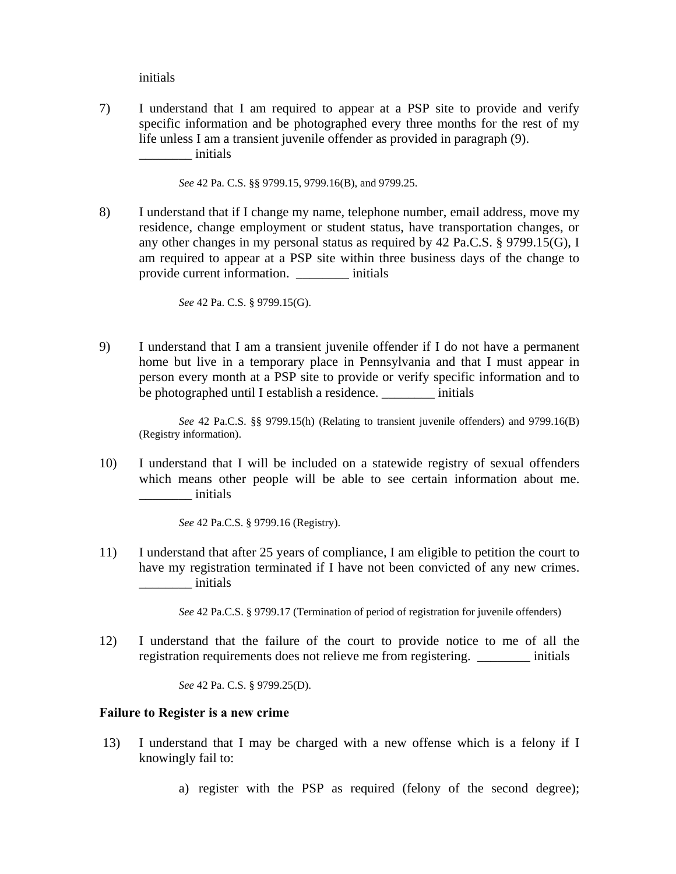initials

7) I understand that I am required to appear at a PSP site to provide and verify specific information and be photographed every three months for the rest of my life unless I am a transient juvenile offender as provided in paragraph (9). \_\_\_\_\_\_\_\_ initials

 *See* 42 Pa. C.S. §§ 9799.15, 9799.16(B), and 9799.25.

8) I understand that if I change my name, telephone number, email address, move my residence, change employment or student status, have transportation changes, or any other changes in my personal status as required by 42 Pa.C.S. § 9799.15(G), I am required to appear at a PSP site within three business days of the change to provide current information. \_\_\_\_\_\_\_\_ initials

*See* 42 Pa. C.S. § 9799.15(G).

9) I understand that I am a transient juvenile offender if I do not have a permanent home but live in a temporary place in Pennsylvania and that I must appear in person every month at a PSP site to provide or verify specific information and to be photographed until I establish a residence. \_\_\_\_\_\_\_\_ initials

 *See* 42 Pa.C.S. §§ 9799.15(h) (Relating to transient juvenile offenders) and 9799.16(B) (Registry information).

10) I understand that I will be included on a statewide registry of sexual offenders which means other people will be able to see certain information about me. \_\_\_\_\_\_\_\_ initials

*See* 42 Pa.C.S. § 9799.16 (Registry).

11) I understand that after 25 years of compliance, I am eligible to petition the court to have my registration terminated if I have not been convicted of any new crimes. \_\_\_\_\_\_\_\_ initials

*See* 42 Pa.C.S. § 9799.17 (Termination of period of registration for juvenile offenders)

12) I understand that the failure of the court to provide notice to me of all the registration requirements does not relieve me from registering.  $\frac{1}{2}$  initials

*See* 42 Pa. C.S. § 9799.25(D).

#### **Failure to Register is a new crime**

- 13) I understand that I may be charged with a new offense which is a felony if I knowingly fail to:
	- a) register with the PSP as required (felony of the second degree);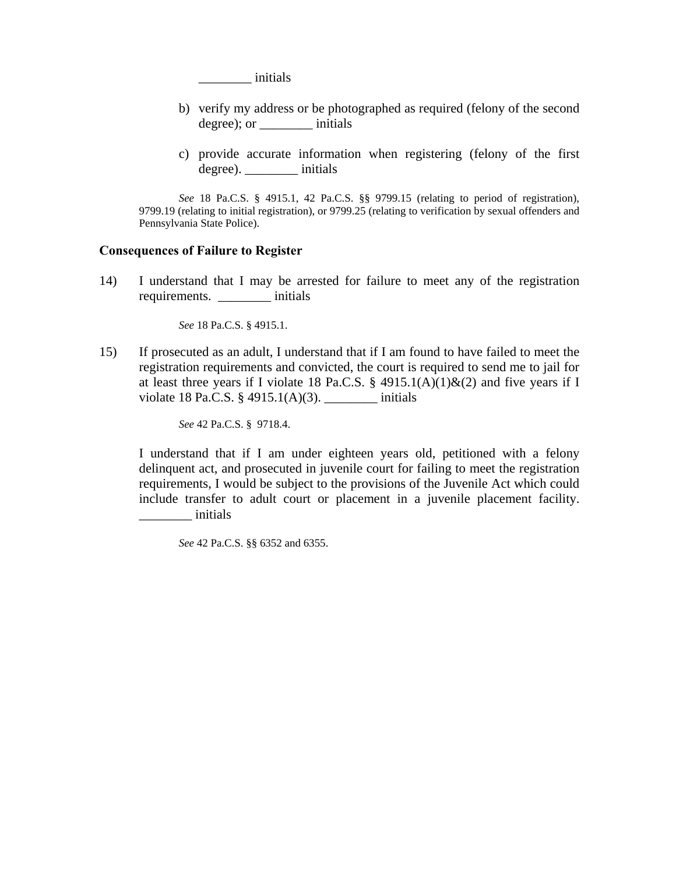\_\_\_\_\_\_\_\_ initials

- b) verify my address or be photographed as required (felony of the second degree); or \_\_\_\_\_\_\_\_ initials
- c) provide accurate information when registering (felony of the first degree). \_\_\_\_\_\_\_\_ initials

*See* 18 Pa.C.S. § 4915.1, 42 Pa.C.S. §§ 9799.15 (relating to period of registration), 9799.19 (relating to initial registration), or 9799.25 (relating to verification by sexual offenders and Pennsylvania State Police).

#### **Consequences of Failure to Register**

14) I understand that I may be arrested for failure to meet any of the registration requirements. \_\_\_\_\_\_\_\_ initials

 *See* 18 Pa.C.S. § 4915.1.

15) If prosecuted as an adult, I understand that if I am found to have failed to meet the registration requirements and convicted, the court is required to send me to jail for at least three years if I violate 18 Pa.C.S. § 4915.1(A)(1)&(2) and five years if I violate 18 Pa.C.S.  $\S$  4915.1(A)(3). \_\_\_\_\_\_\_\_ initials

 *See* 42 Pa.C.S. § 9718.4.

 I understand that if I am under eighteen years old, petitioned with a felony delinquent act, and prosecuted in juvenile court for failing to meet the registration requirements, I would be subject to the provisions of the Juvenile Act which could include transfer to adult court or placement in a juvenile placement facility. \_\_\_\_\_\_\_\_ initials

*See* 42 Pa.C.S. §§ 6352 and 6355.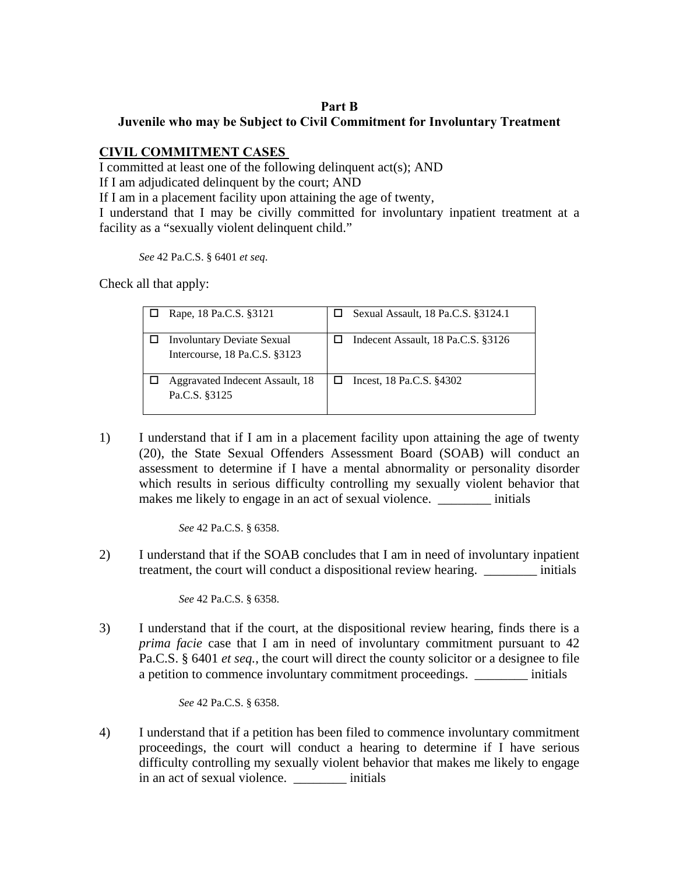## **Part B Juvenile who may be Subject to Civil Commitment for Involuntary Treatment**

# **CIVIL COMMITMENT CASES**

I committed at least one of the following delinquent act(s); AND

If I am adjudicated delinquent by the court; AND

If I am in a placement facility upon attaining the age of twenty,

I understand that I may be civilly committed for involuntary inpatient treatment at a facility as a "sexually violent delinquent child."

*See* 42 Pa.C.S. § 6401 *et seq*.

Check all that apply:

| Rape, 18 Pa.C.S. §3121                                             | Sexual Assault, 18 Pa.C.S. §3124.1 |
|--------------------------------------------------------------------|------------------------------------|
| <b>Involuntary Deviate Sexual</b><br>Intercourse, 18 Pa.C.S. §3123 | Indecent Assault, 18 Pa.C.S. §3126 |
| Aggravated Indecent Assault, 18<br>Pa.C.S. §3125                   | Incest, 18 Pa.C.S. §4302           |

1) I understand that if I am in a placement facility upon attaining the age of twenty (20), the State Sexual Offenders Assessment Board (SOAB) will conduct an assessment to determine if I have a mental abnormality or personality disorder which results in serious difficulty controlling my sexually violent behavior that makes me likely to engage in an act of sexual violence.  $\qquad \qquad$  initials

*See* 42 Pa.C.S. § 6358.

2) I understand that if the SOAB concludes that I am in need of involuntary inpatient treatment, the court will conduct a dispositional review hearing. \_\_\_\_\_\_\_\_ initials

 *See* 42 Pa.C.S. § 6358.

3) I understand that if the court, at the dispositional review hearing, finds there is a *prima facie* case that I am in need of involuntary commitment pursuant to 42 Pa.C.S. § 6401 *et seq.*, the court will direct the county solicitor or a designee to file a petition to commence involuntary commitment proceedings. \_\_\_\_\_\_\_\_ initials

 *See* 42 Pa.C.S. § 6358.

4) I understand that if a petition has been filed to commence involuntary commitment proceedings, the court will conduct a hearing to determine if I have serious difficulty controlling my sexually violent behavior that makes me likely to engage in an act of sexual violence.  $\qquad \qquad$  initials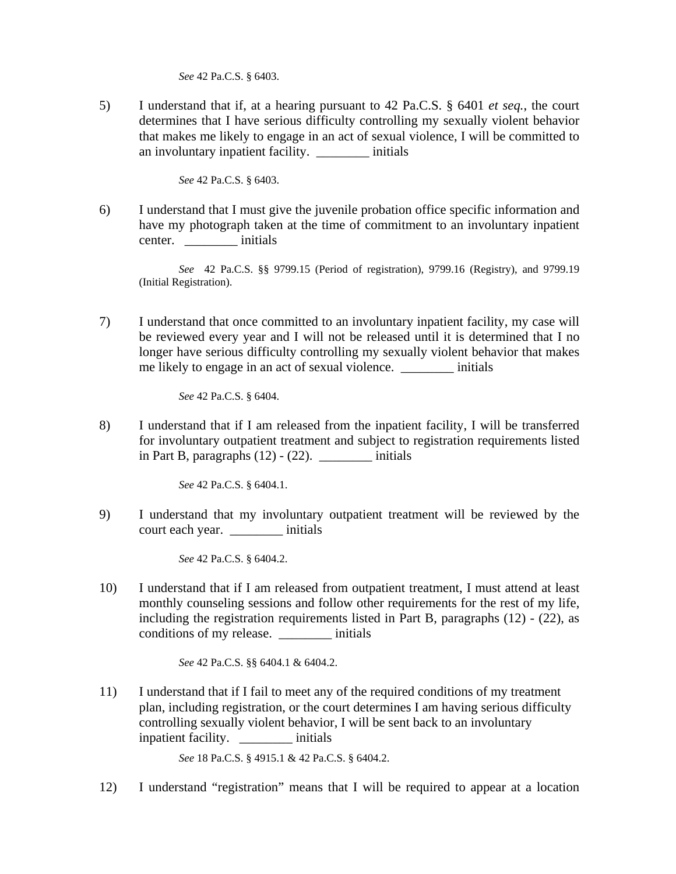*See* 42 Pa.C.S. § 6403.

5) I understand that if, at a hearing pursuant to 42 Pa.C.S. § 6401 *et seq.*, the court determines that I have serious difficulty controlling my sexually violent behavior that makes me likely to engage in an act of sexual violence, I will be committed to an involuntary inpatient facility. \_\_\_\_\_\_\_\_ initials

 *See* 42 Pa.C.S. § 6403.

6) I understand that I must give the juvenile probation office specific information and have my photograph taken at the time of commitment to an involuntary inpatient center. \_\_\_\_\_\_\_\_ initials

 *See* 42 Pa.C.S. §§ 9799.15 (Period of registration), 9799.16 (Registry), and 9799.19 (Initial Registration).

7) I understand that once committed to an involuntary inpatient facility, my case will be reviewed every year and I will not be released until it is determined that I no longer have serious difficulty controlling my sexually violent behavior that makes me likely to engage in an act of sexual violence. \_\_\_\_\_\_\_\_ initials

 *See* 42 Pa.C.S. § 6404.

8) I understand that if I am released from the inpatient facility, I will be transferred for involuntary outpatient treatment and subject to registration requirements listed in Part B, paragraphs  $(12) - (22)$ . initials

 *See* 42 Pa.C.S. § 6404.1.

9) I understand that my involuntary outpatient treatment will be reviewed by the court each year. \_\_\_\_\_\_\_\_ initials

 *See* 42 Pa.C.S. § 6404.2.

10) I understand that if I am released from outpatient treatment, I must attend at least monthly counseling sessions and follow other requirements for the rest of my life, including the registration requirements listed in Part B, paragraphs (12) - (22), as conditions of my release. \_\_\_\_\_\_\_\_ initials

 *See* 42 Pa.C.S. §§ 6404.1 & 6404.2.

11) I understand that if I fail to meet any of the required conditions of my treatment plan, including registration, or the court determines I am having serious difficulty controlling sexually violent behavior, I will be sent back to an involuntary inpatient facility. \_\_\_\_\_\_\_\_ initials

 *See* 18 Pa.C.S. § 4915.1 & 42 Pa.C.S. § 6404.2.

12) I understand "registration" means that I will be required to appear at a location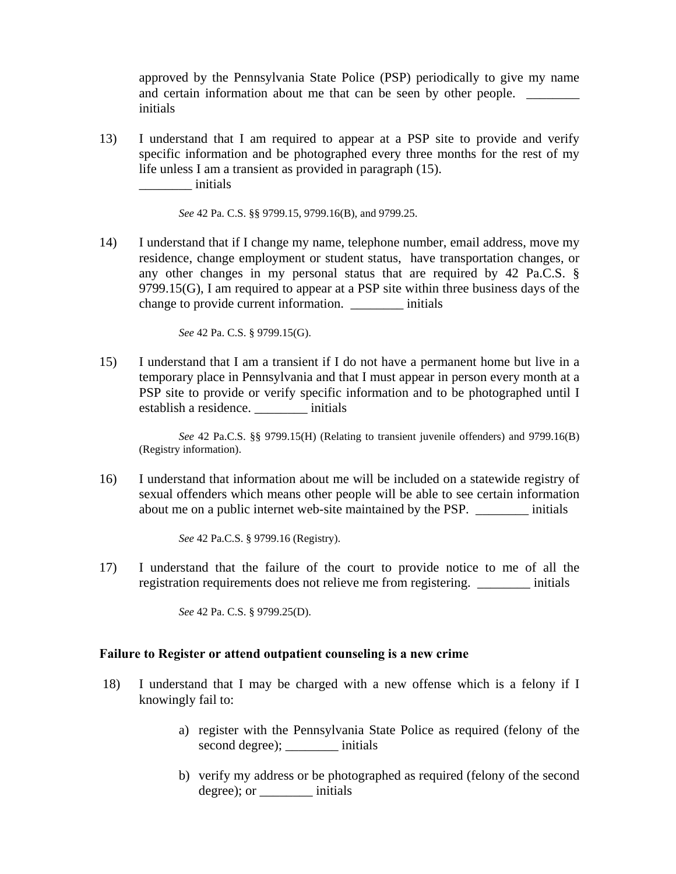approved by the Pennsylvania State Police (PSP) periodically to give my name and certain information about me that can be seen by other people. initials

13) I understand that I am required to appear at a PSP site to provide and verify specific information and be photographed every three months for the rest of my life unless I am a transient as provided in paragraph (15). \_\_\_\_\_\_\_\_ initials

 *See* 42 Pa. C.S. §§ 9799.15, 9799.16(B), and 9799.25.

14) I understand that if I change my name, telephone number, email address, move my residence, change employment or student status, have transportation changes, or any other changes in my personal status that are required by 42 Pa.C.S. § 9799.15(G), I am required to appear at a PSP site within three business days of the change to provide current information. \_\_\_\_\_\_\_\_ initials

*See* 42 Pa. C.S. § 9799.15(G).

15) I understand that I am a transient if I do not have a permanent home but live in a temporary place in Pennsylvania and that I must appear in person every month at a PSP site to provide or verify specific information and to be photographed until I establish a residence.  $\qquad \qquad \text{initials}$ 

 *See* 42 Pa.C.S. §§ 9799.15(H) (Relating to transient juvenile offenders) and 9799.16(B) (Registry information).

16) I understand that information about me will be included on a statewide registry of sexual offenders which means other people will be able to see certain information about me on a public internet web-site maintained by the PSP. \_\_\_\_\_\_\_\_ initials

*See* 42 Pa.C.S. § 9799.16 (Registry).

17) I understand that the failure of the court to provide notice to me of all the registration requirements does not relieve me from registering. \_\_\_\_\_\_\_\_ initials

*See* 42 Pa. C.S. § 9799.25(D).

#### **Failure to Register or attend outpatient counseling is a new crime**

- 18) I understand that I may be charged with a new offense which is a felony if I knowingly fail to:
	- a) register with the Pennsylvania State Police as required (felony of the second degree); \_\_\_\_\_\_\_\_ initials
	- b) verify my address or be photographed as required (felony of the second degree); or \_\_\_\_\_\_\_\_ initials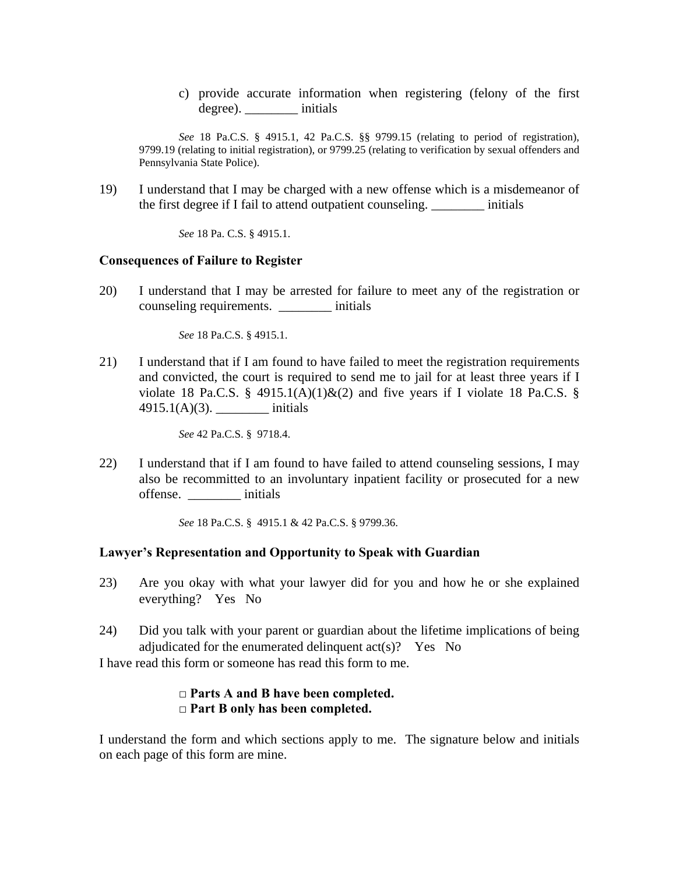c) provide accurate information when registering (felony of the first degree).  $\qquad \qquad \text{initials}$ 

*See* 18 Pa.C.S. § 4915.1, 42 Pa.C.S. §§ 9799.15 (relating to period of registration), 9799.19 (relating to initial registration), or 9799.25 (relating to verification by sexual offenders and Pennsylvania State Police).

19) I understand that I may be charged with a new offense which is a misdemeanor of the first degree if I fail to attend outpatient counseling. \_\_\_\_\_\_\_\_ initials

 *See* 18 Pa. C.S. § 4915.1.

#### **Consequences of Failure to Register**

20) I understand that I may be arrested for failure to meet any of the registration or counseling requirements. \_\_\_\_\_\_\_\_ initials

 *See* 18 Pa.C.S. § 4915.1.

21) I understand that if I am found to have failed to meet the registration requirements and convicted, the court is required to send me to jail for at least three years if I violate 18 Pa.C.S. § 4915.1(A)(1)&(2) and five years if I violate 18 Pa.C.S. § 4915.1(A)(3). \_\_\_\_\_\_\_\_ initials

 *See* 42 Pa.C.S. § 9718.4.

22) I understand that if I am found to have failed to attend counseling sessions, I may also be recommitted to an involuntary inpatient facility or prosecuted for a new offense. \_\_\_\_\_\_\_\_ initials

*See* 18 Pa.C.S. § 4915.1 & 42 Pa.C.S. § 9799.36.

#### **Lawyer's Representation and Opportunity to Speak with Guardian**

- 23) Are you okay with what your lawyer did for you and how he or she explained everything? Yes No
- 24) Did you talk with your parent or guardian about the lifetime implications of being adjudicated for the enumerated delinquent act(s)? Yes No

I have read this form or someone has read this form to me.

## **□ Parts A and B have been completed. □ Part B only has been completed.**

I understand the form and which sections apply to me. The signature below and initials on each page of this form are mine.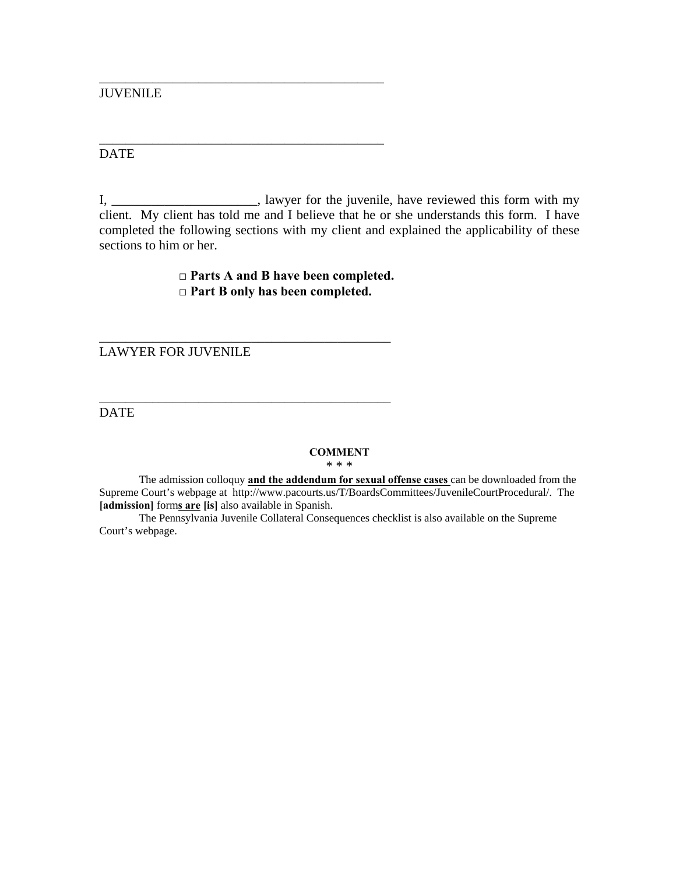JUVENILE

DATE

I, \_\_\_\_\_\_\_\_\_\_\_\_\_\_\_\_\_\_\_\_\_\_, lawyer for the juvenile, have reviewed this form with my client. My client has told me and I believe that he or she understands this form. I have completed the following sections with my client and explained the applicability of these sections to him or her.

> **□ Parts A and B have been completed. □ Part B only has been completed.**

\_\_\_\_\_\_\_\_\_\_\_\_\_\_\_\_\_\_\_\_\_\_\_\_\_\_\_\_\_\_\_\_\_\_\_\_\_\_\_\_\_\_\_

\_\_\_\_\_\_\_\_\_\_\_\_\_\_\_\_\_\_\_\_\_\_\_\_\_\_\_\_\_\_\_\_\_\_\_\_\_\_\_\_\_\_\_

\_\_\_\_\_\_\_\_\_\_\_\_\_\_\_\_\_\_\_\_\_\_\_\_\_\_\_\_\_\_\_\_\_\_\_\_\_\_\_\_\_\_\_\_

\_\_\_\_\_\_\_\_\_\_\_\_\_\_\_\_\_\_\_\_\_\_\_\_\_\_\_\_\_\_\_\_\_\_\_\_\_\_\_\_\_\_\_\_

LAWYER FOR JUVENILE

DATE

#### **COMMENT**

\* \* \*

The admission colloquy **and the addendum for sexual offense cases** can be downloaded from the Supreme Court's webpage at http://www.pacourts.us/T/BoardsCommittees/JuvenileCourtProcedural/. The **[admission]** form**s are [is]** also available in Spanish.

The Pennsylvania Juvenile Collateral Consequences checklist is also available on the Supreme Court's webpage.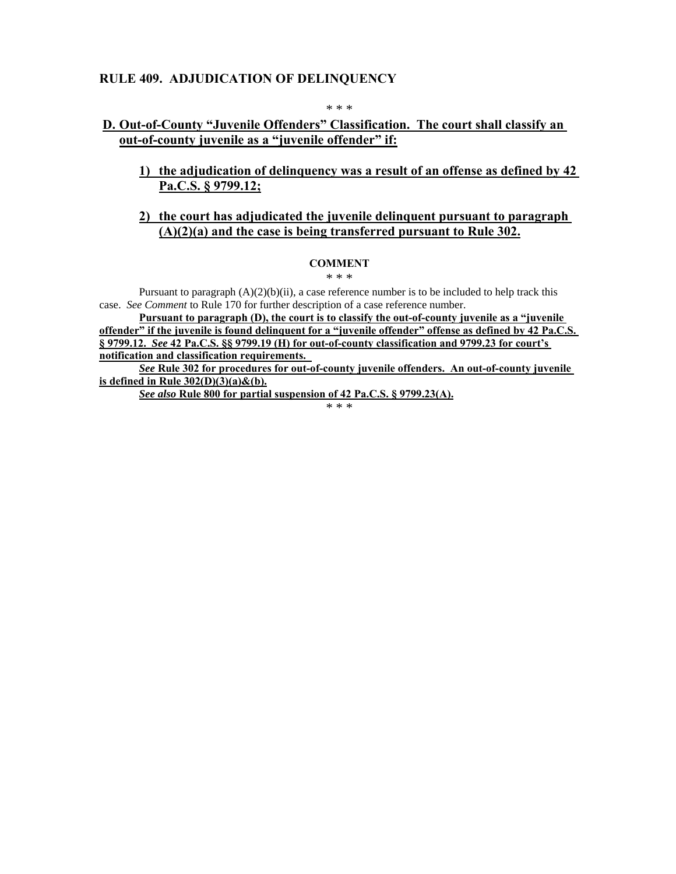## **RULE 409. ADJUDICATION OF DELINQUENCY**

\* \* \*

## **D. Out-of-County "Juvenile Offenders" Classification. The court shall classify an out-of-county juvenile as a "juvenile offender" if:**

**1) the adjudication of delinquency was a result of an offense as defined by 42 Pa.C.S. § 9799.12;** 

#### **2) the court has adjudicated the juvenile delinquent pursuant to paragraph (A)(2)(a) and the case is being transferred pursuant to Rule 302.**

#### **COMMENT**

\* \* \*

Pursuant to paragraph  $(A)(2)(b)(ii)$ , a case reference number is to be included to help track this case. *See Comment* to Rule 170 for further description of a case reference number.

**Pursuant to paragraph (D), the court is to classify the out-of-county juvenile as a "juvenile offender" if the juvenile is found delinquent for a "juvenile offender" offense as defined by 42 Pa.C.S. § 9799.12.** *See* **42 Pa.C.S. §§ 9799.19 (H) for out-of-county classification and 9799.23 for court's notification and classification requirements.** 

*See* **Rule 302 for procedures for out-of-county juvenile offenders. An out-of-county juvenile is defined in Rule 302(D)(3)(a)&(b).** 

*See also* **Rule 800 for partial suspension of 42 Pa.C.S. § 9799.23(A).**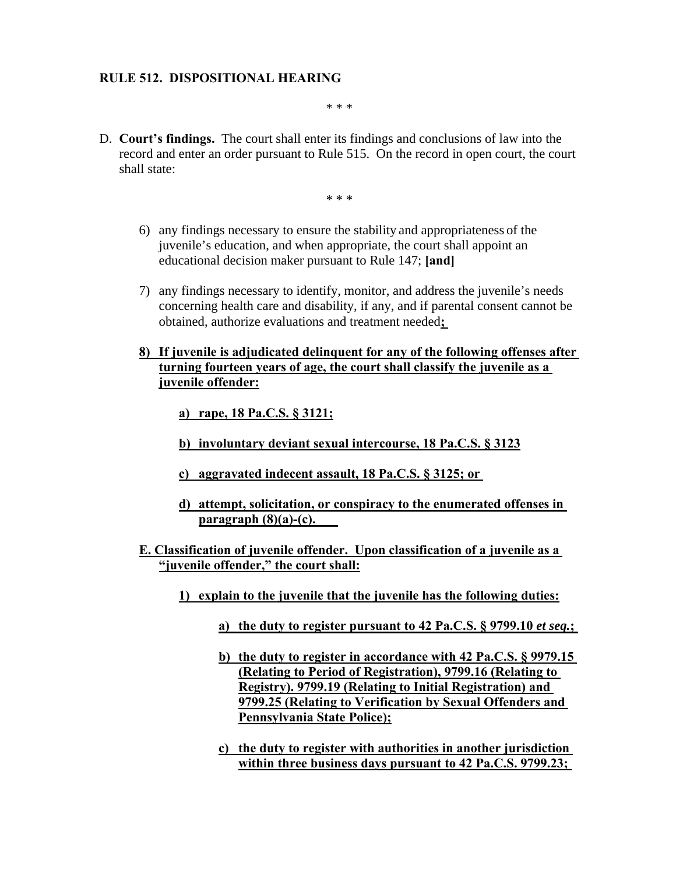### **RULE 512. DISPOSITIONAL HEARING**

\* \* \*

D. **Court's findings.** The court shall enter its findings and conclusions of law into the record and enter an order pursuant to Rule 515. On the record in open court, the court shall state:

- 6) any findings necessary to ensure the stability and appropriateness of the juvenile's education, and when appropriate, the court shall appoint an educational decision maker pursuant to Rule 147; **[and]**
- 7) any findings necessary to identify, monitor, and address the juvenile's needs concerning health care and disability, if any, and if parental consent cannot be obtained, authorize evaluations and treatment needed**;**
- **8) If juvenile is adjudicated delinquent for any of the following offenses after turning fourteen years of age, the court shall classify the juvenile as a juvenile offender:** 
	- **a) rape, 18 Pa.C.S. § 3121;**
	- **b) involuntary deviant sexual intercourse, 18 Pa.C.S. § 3123**
	- **c) aggravated indecent assault, 18 Pa.C.S. § 3125; or**
	- **d) attempt, solicitation, or conspiracy to the enumerated offenses in paragraph (8)(a)-(c).**
- **E. Classification of juvenile offender. Upon classification of a juvenile as a "juvenile offender," the court shall:** 
	- **1) explain to the juvenile that the juvenile has the following duties:** 
		- **a) the duty to register pursuant to 42 Pa.C.S. § 9799.10** *et seq.***;**
		- **b) the duty to register in accordance with 42 Pa.C.S. § 9979.15 (Relating to Period of Registration), 9799.16 (Relating to Registry). 9799.19 (Relating to Initial Registration) and 9799.25 (Relating to Verification by Sexual Offenders and Pennsylvania State Police);**
		- **c) the duty to register with authorities in another jurisdiction within three business days pursuant to 42 Pa.C.S. 9799.23;**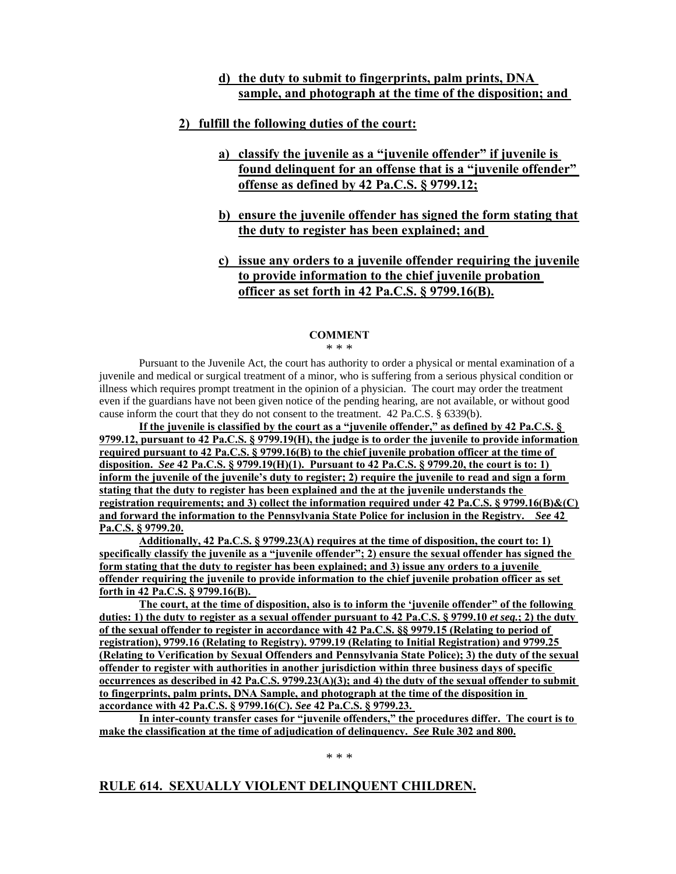## **d) the duty to submit to fingerprints, palm prints, DNA sample, and photograph at the time of the disposition; and**

### **2) fulfill the following duties of the court:**

- **a) classify the juvenile as a "juvenile offender" if juvenile is found delinquent for an offense that is a "juvenile offender" offense as defined by 42 Pa.C.S. § 9799.12;**
- **b) ensure the juvenile offender has signed the form stating that the duty to register has been explained; and**
- **c) issue any orders to a juvenile offender requiring the juvenile to provide information to the chief juvenile probation officer as set forth in 42 Pa.C.S. § 9799.16(B).**

#### **COMMENT**

\* \* \*

Pursuant to the Juvenile Act, the court has authority to order a physical or mental examination of a juvenile and medical or surgical treatment of a minor, who is suffering from a serious physical condition or illness which requires prompt treatment in the opinion of a physician. The court may order the treatment even if the guardians have not been given notice of the pending hearing, are not available, or without good cause inform the court that they do not consent to the treatment. 42 Pa.C.S. § 6339(b).

**If the juvenile is classified by the court as a "juvenile offender," as defined by 42 Pa.C.S. § 9799.12, pursuant to 42 Pa.C.S. § 9799.19(H), the judge is to order the juvenile to provide information required pursuant to 42 Pa.C.S. § 9799.16(B) to the chief juvenile probation officer at the time of disposition.** *See* **42 Pa.C.S. § 9799.19(H)(1). Pursuant to 42 Pa.C.S. § 9799.20, the court is to: 1) inform the juvenile of the juvenile's duty to register; 2) require the juvenile to read and sign a form stating that the duty to register has been explained and the at the juvenile understands the registration requirements; and 3) collect the information required under 42 Pa.C.S. § 9799.16(B)&(C) and forward the information to the Pennsylvania State Police for inclusion in the Registry.** *See* **42 Pa.C.S. § 9799.20.** 

**Additionally, 42 Pa.C.S. § 9799.23(A) requires at the time of disposition, the court to: 1) specifically classify the juvenile as a "juvenile offender"; 2) ensure the sexual offender has signed the form stating that the duty to register has been explained; and 3) issue any orders to a juvenile offender requiring the juvenile to provide information to the chief juvenile probation officer as set forth in 42 Pa.C.S. § 9799.16(B).** 

**The court, at the time of disposition, also is to inform the 'juvenile offender" of the following duties: 1) the duty to register as a sexual offender pursuant to 42 Pa.C.S. § 9799.10** *et seq.***; 2) the duty of the sexual offender to register in accordance with 42 Pa.C.S. §§ 9979.15 (Relating to period of registration), 9799.16 (Relating to Registry). 9799.19 (Relating to Initial Registration) and 9799.25 (Relating to Verification by Sexual Offenders and Pennsylvania State Police); 3) the duty of the sexual offender to register with authorities in another jurisdiction within three business days of specific occurrences as described in 42 Pa.C.S. 9799.23(A)(3); and 4) the duty of the sexual offender to submit to fingerprints, palm prints, DNA Sample, and photograph at the time of the disposition in accordance with 42 Pa.C.S. § 9799.16(C).** *See* **42 Pa.C.S. § 9799.23.** 

**In inter-county transfer cases for "juvenile offenders," the procedures differ. The court is to make the classification at the time of adjudication of delinquency.** *See* **Rule 302 and 800.** 

\* \* \*

# **RULE 614. SEXUALLY VIOLENT DELINQUENT CHILDREN.**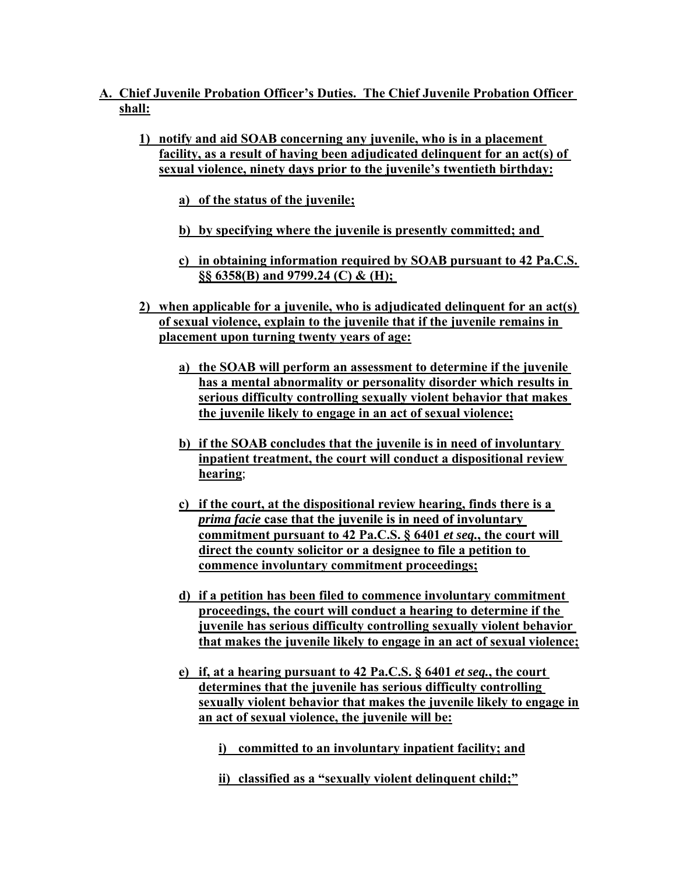- **A. Chief Juvenile Probation Officer's Duties. The Chief Juvenile Probation Officer shall:** 
	- **1) notify and aid SOAB concerning any juvenile, who is in a placement facility, as a result of having been adjudicated delinquent for an act(s) of sexual violence, ninety days prior to the juvenile's twentieth birthday:** 
		- **a) of the status of the juvenile;**
		- **b) by specifying where the juvenile is presently committed; and**
		- **c) in obtaining information required by SOAB pursuant to 42 Pa.C.S. §§ 6358(B) and 9799.24 (C) & (H);**
	- **2) when applicable for a juvenile, who is adjudicated delinquent for an act(s) of sexual violence, explain to the juvenile that if the juvenile remains in placement upon turning twenty years of age:** 
		- **a) the SOAB will perform an assessment to determine if the juvenile has a mental abnormality or personality disorder which results in serious difficulty controlling sexually violent behavior that makes the juvenile likely to engage in an act of sexual violence;**
		- **b) if the SOAB concludes that the juvenile is in need of involuntary inpatient treatment, the court will conduct a dispositional review hearing**;
		- **c) if the court, at the dispositional review hearing, finds there is a**  *prima facie* **case that the juvenile is in need of involuntary commitment pursuant to 42 Pa.C.S. § 6401** *et seq.***, the court will direct the county solicitor or a designee to file a petition to commence involuntary commitment proceedings;**
		- **d) if a petition has been filed to commence involuntary commitment proceedings, the court will conduct a hearing to determine if the juvenile has serious difficulty controlling sexually violent behavior that makes the juvenile likely to engage in an act of sexual violence;**
		- **e)** if, at a hearing pursuant to 42 Pa.C.S.  $\S$  6401 *et seq.*, the court **determines that the juvenile has serious difficulty controlling sexually violent behavior that makes the juvenile likely to engage in an act of sexual violence, the juvenile will be:** 
			- **i) committed to an involuntary inpatient facility; and**
			- **ii) classified as a "sexually violent delinquent child;"**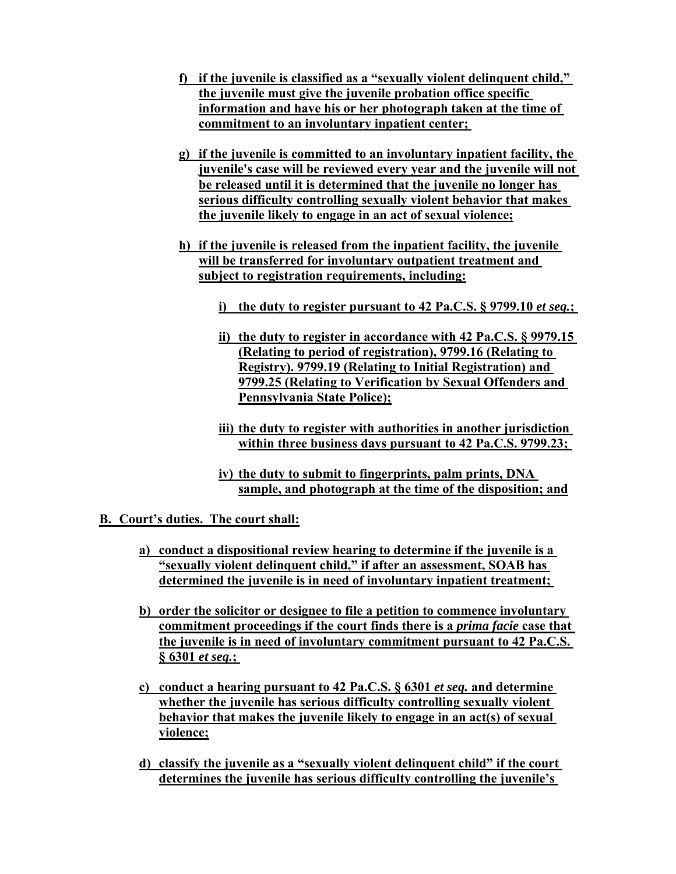- **f) if the juvenile is classified as a "sexually violent delinquent child," the juvenile must give the juvenile probation office specific information and have his or her photograph taken at the time of commitment to an involuntary inpatient center;**
- **g) if the juvenile is committed to an involuntary inpatient facility, the juvenile's case will be reviewed every year and the juvenile will not be released until it is determined that the juvenile no longer has serious difficulty controlling sexually violent behavior that makes the juvenile likely to engage in an act of sexual violence;**
- **h) if the juvenile is released from the inpatient facility, the juvenile will be transferred for involuntary outpatient treatment and subject to registration requirements, including:** 
	- **i) the duty to register pursuant to 42 Pa.C.S. § 9799.10** *et seq.***;**
	- **ii) the duty to register in accordance with 42 Pa.C.S. § 9979.15 (Relating to period of registration), 9799.16 (Relating to Registry). 9799.19 (Relating to Initial Registration) and 9799.25 (Relating to Verification by Sexual Offenders and Pennsylvania State Police);**
	- **iii) the duty to register with authorities in another jurisdiction within three business days pursuant to 42 Pa.C.S. 9799.23;**
	- **iv) the duty to submit to fingerprints, palm prints, DNA sample, and photograph at the time of the disposition; and**
- **B. Court's duties. The court shall:** 
	- **a) conduct a dispositional review hearing to determine if the juvenile is a "sexually violent delinquent child," if after an assessment, SOAB has determined the juvenile is in need of involuntary inpatient treatment;**
	- **b) order the solicitor or designee to file a petition to commence involuntary commitment proceedings if the court finds there is a** *prima facie* **case that the juvenile is in need of involuntary commitment pursuant to 42 Pa.C.S. § 6301** *et seq.***;**
	- **c) conduct a hearing pursuant to 42 Pa.C.S. § 6301** *et seq.* **and determine whether the juvenile has serious difficulty controlling sexually violent behavior that makes the juvenile likely to engage in an act(s) of sexual violence;**
	- **d) classify the juvenile as a "sexually violent delinquent child" if the court determines the juvenile has serious difficulty controlling the juvenile's**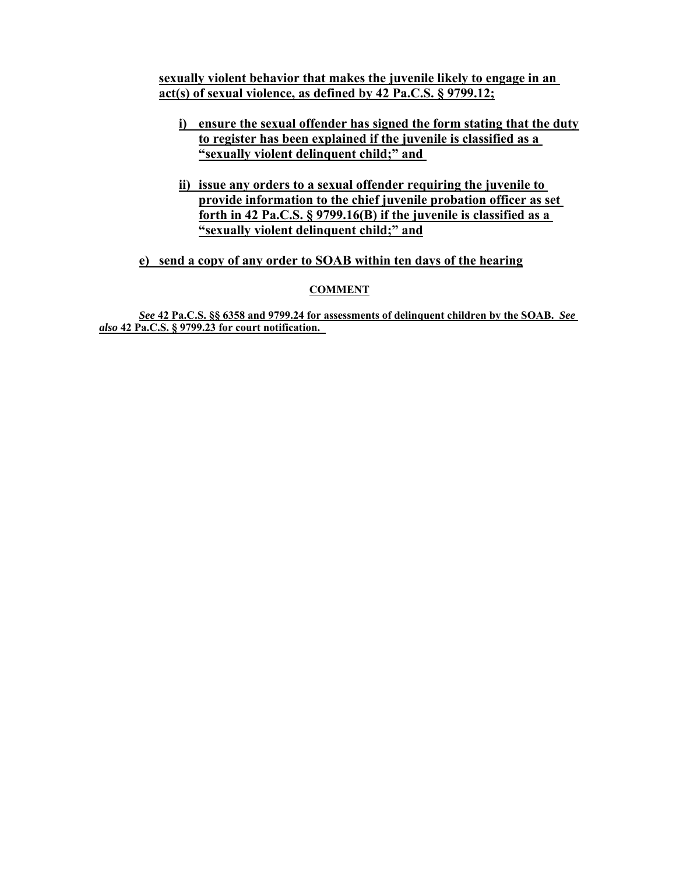**sexually violent behavior that makes the juvenile likely to engage in an act(s) of sexual violence, as defined by 42 Pa.C.S. § 9799.12;** 

- **i) ensure the sexual offender has signed the form stating that the duty to register has been explained if the juvenile is classified as a "sexually violent delinquent child;" and**
- **ii) issue any orders to a sexual offender requiring the juvenile to provide information to the chief juvenile probation officer as set forth in 42 Pa.C.S. § 9799.16(B) if the juvenile is classified as a "sexually violent delinquent child;" and**

**e) send a copy of any order to SOAB within ten days of the hearing**

#### **COMMENT**

*See* **42 Pa.C.S. §§ 6358 and 9799.24 for assessments of delinquent children by the SOAB.** *See also* **42 Pa.C.S. § 9799.23 for court notification.**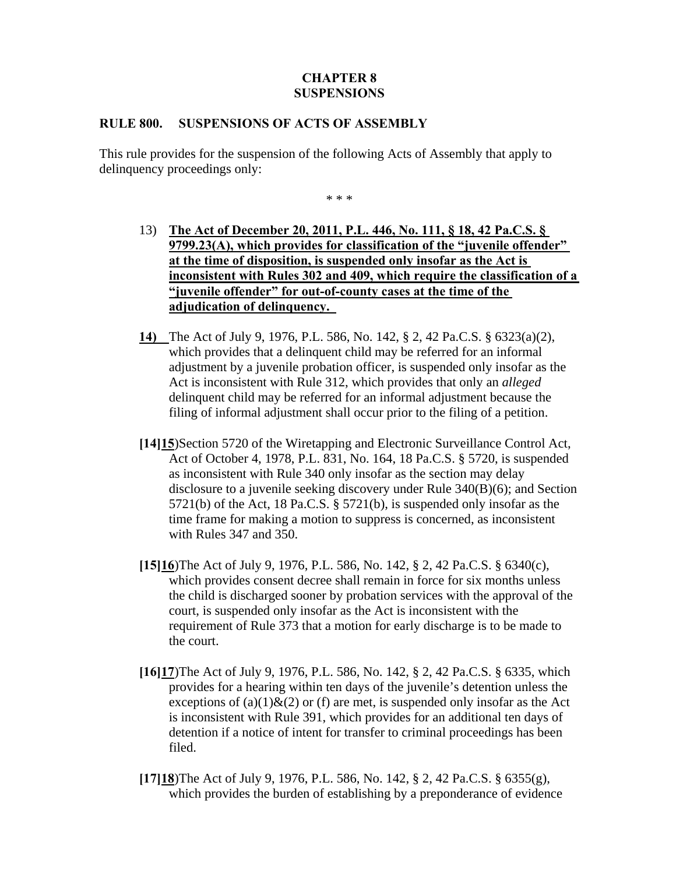## **CHAPTER 8 SUSPENSIONS**

### **RULE 800. SUSPENSIONS OF ACTS OF ASSEMBLY**

This rule provides for the suspension of the following Acts of Assembly that apply to delinquency proceedings only:

- 13) **The Act of December 20, 2011, P.L. 446, No. 111, § 18, 42 Pa.C.S. § 9799.23(A), which provides for classification of the "juvenile offender" at the time of disposition, is suspended only insofar as the Act is inconsistent with Rules 302 and 409, which require the classification of a "juvenile offender" for out-of-county cases at the time of the adjudication of delinquency.**
- **14)** The Act of July 9, 1976, P.L. 586, No. 142, § 2, 42 Pa.C.S. § 6323(a)(2), which provides that a delinquent child may be referred for an informal adjustment by a juvenile probation officer, is suspended only insofar as the Act is inconsistent with Rule 312, which provides that only an *alleged* delinquent child may be referred for an informal adjustment because the filing of informal adjustment shall occur prior to the filing of a petition.
- **[14]15**)Section 5720 of the Wiretapping and Electronic Surveillance Control Act, Act of October 4, 1978, P.L. 831, No. 164, 18 Pa.C.S. § 5720, is suspended as inconsistent with Rule 340 only insofar as the section may delay disclosure to a juvenile seeking discovery under Rule 340(B)(6); and Section 5721(b) of the Act, 18 Pa.C.S. § 5721(b), is suspended only insofar as the time frame for making a motion to suppress is concerned, as inconsistent with Rules 347 and 350.
- **[15]16**)The Act of July 9, 1976, P.L. 586, No. 142, § 2, 42 Pa.C.S. § 6340(c), which provides consent decree shall remain in force for six months unless the child is discharged sooner by probation services with the approval of the court, is suspended only insofar as the Act is inconsistent with the requirement of Rule 373 that a motion for early discharge is to be made to the court.
- **[16]17**)The Act of July 9, 1976, P.L. 586, No. 142, § 2, 42 Pa.C.S. § 6335, which provides for a hearing within ten days of the juvenile's detention unless the exceptions of (a)(1) $\&$ (2) or (f) are met, is suspended only insofar as the Act is inconsistent with Rule 391, which provides for an additional ten days of detention if a notice of intent for transfer to criminal proceedings has been filed.
- **[17]18**)The Act of July 9, 1976, P.L. 586, No. 142, § 2, 42 Pa.C.S. § 6355(g), which provides the burden of establishing by a preponderance of evidence